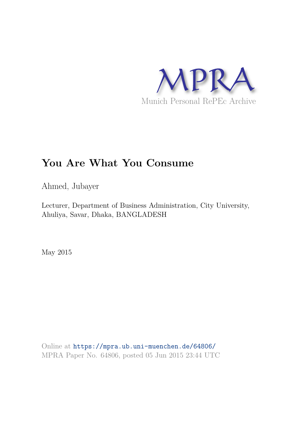

# **You Are What You Consume**

Ahmed, Jubayer

Lecturer, Department of Business Administration, City University, Ahuliya, Savar, Dhaka, BANGLADESH

May 2015

Online at https://mpra.ub.uni-muenchen.de/64806/ MPRA Paper No. 64806, posted 05 Jun 2015 23:44 UTC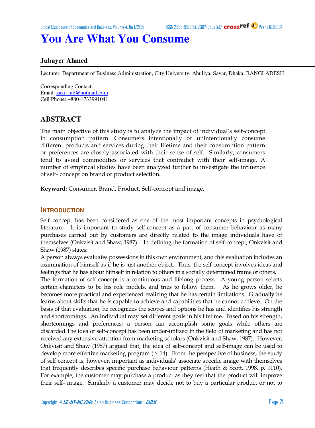## **You Are What You Consume**

### **Jubayer Ahmed**

Lecturer, Department of Business Administration, City University, Ahuliya, Savar, Dhaka, BANGLADESH

Corresponding Contact: Email[: zaki\\_iub@hotmail.com](mailto:zaki_iub@hotmail.com)  Cell Phone: +880-1733991041

## **ABSTRACT**

The main objective of this study is to analyze the impact of individual"s self-concept in consumption pattern. Consumers intentionally or unintentionally consume different products and services during their lifetime and their consumption pattern or preferences are closely associated with their sense of self. Similarly, consumers tend to avoid commodities or services that contradict with their self-image. A number of empirical studies have been analyzed further to investigate the influence of self- concept on brand or product selection.

**Keyword:** Consumer, Brand, Product, Self-concept and image.

#### **INTRODUCTION**

Self concept has been considered as one of the most important concepts in psychological literature. It is important to study self-concept as a part of consumer behaviour as many purchases carried out by customers are directly related to the image individuals have of themselves (Onkvisit and Shaw, 1987). In defining the formation of self-concept, Onkvisit and Shaw (1987) states:

A person always evaluates possessions in this own environment, and this evaluation includes an examination of himself as if he is just another object. Thus, the self-concept involves ideas and feelings that he has about himself in relation to others in a socially determined frame of others.

The formation of self concept is a continuous and lifelong process. A young person selects certain characters to be his role models, and tries to follow them. As he grows older, he becomes more practical and experienced realizing that he has certain limitations. Gradually he learns about skills that he is capable to achieve and capabilities that he cannot achieve. On the basis of that evaluation, he recognizes the scopes and options he has and identifies his strength and shortcomings. An individual may set different goals in his lifetime. Based on his strength, shortcomings and preferences; a person can accomplish some goals while others are discarded.The idea of self-concept has been under-utilized in the field of marketing and has not received any extensive attention from marketing scholars (Onkvisit and Shaw, 1987). However, Onkvisit and Shaw (1987) argued that, the idea of self-concept and self-image can be used to develop more effective marketing program (p. 14). From the perspective of business, the study of self concept is, however, important as individuals" associate specific image with themselves that frequently describes specific purchase behaviour patterns (Heath & Scott, 1998, p. 1110). For example, the customer may purchase a product as they feel that the product will improve their self- image. Similarly a customer may decide not to buy a particular product or not to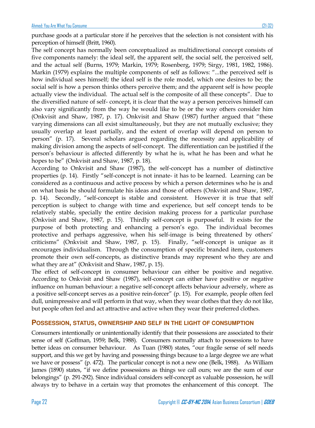purchase goods at a particular store if he perceives that the selection is not consistent with his perception of himself (Britt, 1960).

The self concept has normally been conceptualized as multidirectional concept consists of five components namely: the ideal self, the apparent self, the social self, the perceived self, and the actual self (Burns, 1979; Markin, 1979; Rosenberg, 1979; Sirgy, 1981, 1982, 1986). Markin (1979) explains the multiple components of self as follows: "...the perceived self is how individual sees himself; the ideal self is the role model, which one desires to be; the social self is how a person thinks others perceive them; and the apparent self is how people actually view the individual. The actual self is the composite of all these concepts". Due to the diversified nature of self- concept, it is clear that the way a person perceives himself can also vary significantly from the way he would like to be or the way others consider him (Onkvisit and Shaw, 1987, p. 17). Onkvisit and Shaw (1987) further argued that "these varying dimensions can all exist simultaneously, but they are not mutually exclusive; they usually overlap at least partially, and the extent of overlap will depend on person to person" (p. 17). Several scholars argued regarding the necessity and applicability of making division among the aspects of self-concept. The differentiation can be justified if the person"s behaviour is affected differently by what he is, what he has been and what he hopes to be" (Onkvisit and Shaw, 1987, p. 18).

According to Onkvisit and Shaw (1987), the self-concept has a number of distinctive properties (p. 14). Firstly "self-concept is not innate- it has to be learned. Learning can be considered as a continuous and active process by which a person determines who he is and on what basis he should formulate his ideas and those of others (Onkvisit and Shaw, 1987, p. 14). Secondly, "self-concept is stable and consistent. However it is true that self perception is subject to change with time and experience, but self concept tends to be relatively stable, specially the entire decision making process for a particular purchase (Onkvisit and Shaw, 1987, p. 15). Thirdly self-concept is purposeful. It exists for the purpose of both protecting and enhancing a person"s ego. The individual becomes protective and perhaps aggressive, when his self-image is being threatened by others" criticisms" (Onkvisit and Shaw, 1987, p. 15). Finally, "self-concept is unique as it encourages individualism. Through the consumption of specific branded item, customers promote their own self-concepts, as distinctive brands may represent who they are and what they are at" (Onkvisit and Shaw, 1987, p. 15).

The effect of self-concept in consumer behaviour can either be positive and negative. According to Onkvisit and Shaw (1987), self-concept can either have positive or negative influence on human behaviour: a negative self-concept affects behaviour adversely, where as a positive self-concept serves as a positive rein-forcer" (p. 15). For example, people often feel dull, unimpressive and will perform in that way, when they wear clothes that they do not like, but people often feel and act attractive and active when they wear their preferred clothes.

### **POSSESSION, STATUS, OWNERSHIP AND SELF IN THE LIGHT OF CONSUMPTION**

Consumers intentionally or unintentionally identify that their possessions are associated to their sense of self (Goffman, 1959; Belk, 1988). Consumers normally attach to possessions to have better ideas on consumer behaviour. As Tuan (1980) states, "our fragile sense of self needs support, and this we get by having and possessing things because to a large degree we are what we have or possess" (p. 472). The particular concept is not a new one (Belk, 1988). As William James (1890) states, "if we define possessions as things we call ours; we are the sum of our belongings" (p. 291-292). Since individual considers self-concept as valuable possession, he will always try to behave in a certain way that promotes the enhancement of this concept. The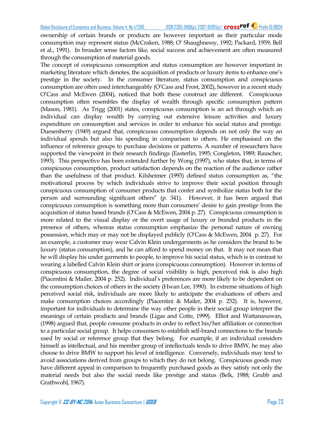ownership of certain brands or products are however important as their particular mode consumption may represent status (McCraken, 1988; O" Shaughnessy, 1992; Packard, 1959; Bell et al., 1991). In broader sense factors like, social success and achievement are often measured through the consumption of material goods.

The concept of conspicuous consumption and status consumption are however important in marketing literature which denotes, the acquisition of products or luxury items to enhance one"s prestige in the society. In the consumer literature, status consumption and conspicuous consumption are often used interchangeably (O"Cass and Frost, 2002), however in a recent study O"Cass and McEwen (2004), noticed that both these construct are different. Conspicuous consumption often resembles the display of wealth through specific consumption pattern (Mason, 1981). As Trigg (2001) states, conspicuous consumption is an act through which an individual can display wealth by carrying out extensive leisure activities and luxury expenditure on consumption and services in order to enhance his social status and prestige. Duesenberry (1949) argued that, conspicuous consumption depends on not only the way an individual spends but also his spending in comparison to others. He emphasised on the influence of reference groups to purchase decisions or patterns. A number of researchers have supported the viewpoint in their research findings (Easterlin, 1995; Congleton, 1989; Rauscher, 1993). This perspective has been extended further by Wong (1997), who states that, in terms of conspicuous consumption, product satisfaction depends on the reaction of the audience rather than the usefulness of that product. Kilsheimer (1993) defined status consumption as, "the motivational process by which individuals strive to improve their social position through conspicuous consumption of consumer products that confer and symbolize status both for the person and surrounding significant others" (p. 341). However, it has been argued that conspicuous consumption is something more than consumers" desire to gain prestige from the acquisition of status based brands (O"Cass & McEwen, 2004 p. 27). Conspicuous consumption is more related to the visual display or the overt usage of luxury or branded products in the presence of others, whereas status consumption emphasize the personal nature of owning possession, which may or may not be displayed publicly (O"Cass & McEwen, 2004 p. 27). For an example, a customer may wear Calvin Klein undergarments as he considers the brand to be luxury (status consumption), and he can afford to spend money on that. It may not mean that he will display his under garments to people, to improve his social status, which is in contrast to wearing a labelled Calvin Klein shirt or jeans (conspicuous consumption). However in terms of conspicuous consumption, the degree of social visibility is high, perceived risk is also high (Piacentini & Mailer, 2004 p. 252). Individual"s preferences are more likely to be dependent on the consumption choices of others in the society (Hwan Lee, 1990). In extreme situations of high perceived social risk, individuals are more likely to anticipate the evaluations of others and make consumption choices accordingly (Piacentini & Mailer, 2004 p. 252). It is, however, important for individuals to determine the way other people in their social group interpret the meanings of certain products and brands (Ligas and Cotte, 1999). Elliot and Wattanasuwan, (1998) argued that, people consume products in order to reflect his/her affiliation or connection to a particular social group. It helps consumers to establish self-brand connections to the brands used by social or reference group that they belong. For example, if an individual considers himself as intellectual, and his member group of intellectuals tends to drive BMW, he may also choose to drive BMW to support his level of intelligence. Conversely, individuals may tend to avoid associations derived from groups to which they do not belong. Conspicuous goods may have different appeal in comparison to frequently purchased goods as they satisfy not only the material needs but also the social needs like prestige and status (Belk, 1988; Grubb and Grathwohl, 1967).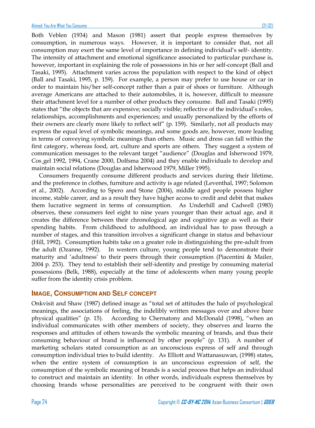Both Veblen (1934) and Mason (1981) assert that people express themselves by consumption, in numerous ways. However, it is important to consider that, not all consumption may exert the same level of importance in defining individual"s self- identity. The intensity of attachment and emotional significance associated to particular purchase is, however, important in explaining the role of possessions in his or her self-concept (Ball and Tasaki, 1995). Attachment varies across the population with respect to the kind of object (Ball and Tasaki, 1995, p. 159). For example, a person may prefer to use house or car in order to maintain his/her self-concept rather than a pair of shoes or furniture. Although average Americans are attached to their automobiles, it is, however, difficult to measure their attachment level for a number of other products they consume. Ball and Tasaki (1995) states that "the objects that are expensive; socially visible; reflective of the individual's roles, relationships, accomplishments and experiences; and usually personalized by the efforts of their owners are clearly more likely to reflect self" (p. 159). Similarly, not all products may express the equal level of symbolic meanings, and some goods are, however, more leading in terms of conveying symbolic meanings than others. Music and dress can fall within the first category, whereas food, art, culture and sports are others. They suggest a system of communication messages to the relevant target "audience" (Douglas and Isherwood 1979, Cos¸gel 1992, 1994, Crane 2000, Dolfsma 2004) and they enable individuals to develop and maintain social relations (Douglas and Isherwood 1979, Miller 1995).

 Consumers frequently consume different products and services during their lifetime, and the preference in clothes, furniture and activity is age related (Leventhal, 1997; Solomon et al., 2002). According to Spero and Stone (2004), middle aged people possess higher income, stable career, and as a result they have higher access to credit and debit that makes them lucrative segment in terms of consumption. As Underhill and Cadwell (1983) observes, these consumers feel eight to nine years younger than their actual age, and it creates the difference between their chronological age and cognitive age as well as their spending habits. From childhood to adulthood, an individual has to pass through a number of stages, and this transition involves a significant change in status and behaviour (Hill, 1992). Consumption habits take on a greater role in distinguishing the pre-adult from the adult (Ozanne, 1992). In western culture, young people tend to demonstrate their maturity and "adultness" to their peers through their consumption (Piacentini & Mailer, 2004 p. 253). They tend to establish their self-identity and prestige by consuming material possessions (Belk, 1988), especially at the time of adolescents when many young people suffer from the identity crisis problem.

#### **IMAGE, CONSUMPTION AND SELF CONCEPT**

Onkvisit and Shaw (1987) defined image as "total set of attitudes the halo of psychological meanings, the associations of feeling, the indelibly written messages over and above bare physical qualities" (p. 15). According to Chernatony and McDonald (1998), "when an individual communicates with other members of society, they observes and learns the responses and attitudes of others towards the symbolic meaning of brands, and thus their consuming behaviour of brand is influenced by other people" (p. 131). A number of marketing scholars stated consumption as an unconscious express of self and through consumption individual tries to build identity. As Elliott and Wattanasuwan, (1998) states, when the entire system of consumption is an unconscious expression of self, the consumption of the symbolic meaning of brands is a social process that helps an individual to construct and maintain an identity. In other words, individuals express themselves by choosing brands whose personalities are perceived to be congruent with their own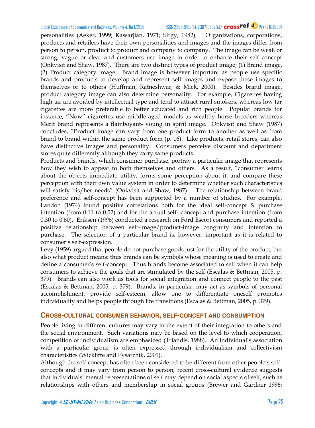personalities (Aeker, 1999; Kassarjian, 1971; Sirgy, 1982). Organizations, corporations, products and retailers have their own personalities and images and the images differ from person to person, product to product and company to company. The image can be weak or strong, vague or clear and customers use image in order to enhance their self concept (Onkvisit and Shaw, 1987). There are two distinct types of product image; (1) Brand image, (2) Product category image. Brand image is however important as people use specific brands and products to develop and represent self images and expose these images to themselves or to others (Huffman, Ratneshwar, & Mick, 2000). Besides brand image, product category image can also determine personality. For example, Cigarettes having high tar are avoided by intellectual type and tend to attract rural smokers; whereas low tar cigarettes are more preferable to better educated and rich people. Popular brands for instance, "Now" cigarettes use middle-aged models as wealthy horse breeders whereas Merit brand represents a flamboyant- young in spirit image. Onkvisit and Shaw (1987) concludes, "Product image can vary from one product form to another as well as from brand to brand within the same product form (p. 16). Like products, retail stores, can also have distinctive images and personality. Consumers perceive discount and department stores quite differently although they carry same products.

Products and brands, which consumer purchase, portray a particular image that represents how they wish to appear to both themselves and others. As a result, "consumer learns about the objects immediate utility, forms some perception about it, and compare these perception with their own value system in order to determine whether such characteristics will satisfy his/her needs" (Onkvisit and Shaw, 1987). The relationship between brand preference and self-concept has been supported by a number of studies. For example, Landon (1974) found positive correlations both for the ideal self-concept  $\&$  purchase intention (from 0.11 to 0.52) and for the actual self- concept and purchase intention (from 0.30 to 0.60). Eriksen (1996) conducted a research on Ford Escort consumers and reported a positive relationship between self-image/product-image congruity and intention to purchase. The selection of a particular brand is, however, important as it is related to consumer"s self-expression.

Levy (1959) argued that people do not purchase goods just for the utility of the product, but also what product means; thus brands can be symbols whose meaning is used to create and define a consumer"s self-concept. Thus brands become associated to self when it can help consumers to achieve the goals that are stimulated by the self (Escalas & Bettman, 2005, p. 379). Brands can also work as tools for social integration and connect people to the past (Escalas & Bettman, 2005, p. 379). Brands, in particular, may act as symbols of personal accomplishment, provide self-esteem, allow one to differentiate oneself promotes individuality and helps people through life transitions (Escalas & Bettman, 2005, p. 379).

### **CROSS-CULTURAL CONSUMER BEHAVIOR, SELF-CONCEPT AND CONSUMPTION**

People living in different cultures may vary in the extent of their integration to others and the social environment. Such variations may be based on the level to which cooperation, competition or individualism are emphasized (Triandis, 1988). An individual"s association with a particular group is often expressed through individualism and collectivism characteristics (Wickliffe and Pysarchik, 2001).

Although the self-concept has often been considered to be different from other people"s selfconcepts and it may vary from person to person, recent cross-cultural evidence suggests that individuals" mental representations of self may depend on social aspects of self, such as relationships with others and membership in social groups (Brewer and Gardner 1996;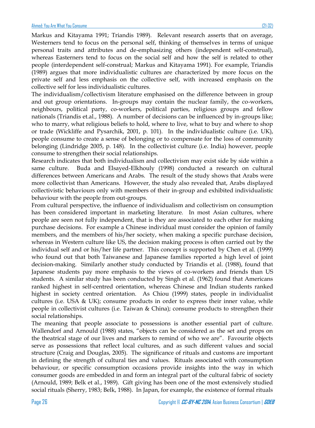Markus and Kitayama 1991; Triandis 1989). Relevant research asserts that on average, Westerners tend to focus on the personal self, thinking of themselves in terms of unique personal traits and attributes and de-emphasizing others (independent self-construal), whereas Easterners tend to focus on the social self and how the self is related to other people (interdependent self-construal; Markus and Kitayama 1991). For example, Triandis (1989) argues that more individualistic cultures are characterized by more focus on the private self and less emphasis on the collective self, with increased emphasis on the collective self for less individualistic cultures.

The individualism/collectivism literature emphasised on the difference between in group and out group orientations. In-groups may contain the nuclear family, the co-workers, neighbours, political party, co-workers, political parties, religious groups and fellow nationals (Triandis et.al., 1988). A number of decisions can be influenced by in-groups like; who to marry, what religious beliefs to hold, where to live, what to buy and where to shop or trade (Wickliffe and Pysarchik, 2001, p. 101). In the individualistic culture (i.e. UK), people consume to create a sense of belonging or to compensate for the loss of community belonging (Lindridge 2005, p. 148). In the collectivist culture (i.e. India) however, people consume to strengthen their social relationships.

Research indicates that both individualism and collectivism may exist side by side within a same culture. Buda and Elsayed-Elkhouly (1998) conducted a research on cultural differences between Americans and Arabs. The result of the study shows that Arabs were more collectivist than Americans. However, the study also revealed that, Arabs displayed collectivistic behaviours only with members of their in-group and exhibited individualistic behaviour with the people from out-groups.

From cultural perspective, the influence of individualism and collectivism on consumption has been considered important in marketing literature. In most Asian cultures, where people are seen not fully independent, that is they are associated to each other for making purchase decisions. For example a Chinese individual must consider the opinion of family members, and the members of his/her society, when making a specific purchase decision, whereas in Western culture like US, the decision making process is often carried out by the individual self and or his/her life partner. This concept is supported by Chen et al. (1999) who found out that both Taiwanese and Japanese families reported a high level of joint decision-making. Similarly another study conducted by Triandis et al. (1988), found that Japanese students pay more emphasis to the views of co-workers and friends than US students. A similar study has been conducted by Singh et al. (1962) found that Americans ranked highest in self-centred orientation, whereas Chinese and Indian students ranked highest in society centred orientation. As Chiou (1999) states, people in individualist cultures (i.e. USA & UK); consume products in order to express their inner value, while people in collectivist cultures (i.e. Taiwan & China); consume products to strengthen their social relationships.

The meaning that people associate to possessions is another essential part of culture. Wallendorf and Arnould (1988) states, "objects can be considered as the set and props on the theatrical stage of our lives and markers to remind of who we are". Favourite objects serve as possessions that reflect local cultures, and as such different values and social structure (Craig and Douglas, 2005). The significance of rituals and customs are important in defining the strength of cultural ties and values. Rituals associated with consumption behaviour, or specific consumption occasions provide insights into the way in which consumer goods are embedded in and form an integral part of the cultural fabric of society (Arnould, 1989; Belk et al., 1989). Gift giving has been one of the most extensively studied social rituals (Sherry, 1983; Belk, 1988). In Japan, for example, the existence of formal rituals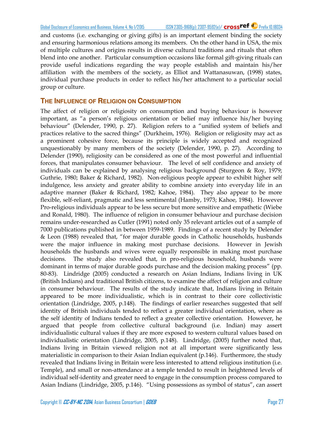Global Disclosure of Economics and Business, Volume 4, No 1/2015 ISSN 2305-9168(p); 2307-9592(e)/ crossref<sup>(c)</sup> Prefix 10.18034

and customs (i.e. exchanging or giving gifts) is an important element binding the society and ensuring harmonious relations among its members. On the other hand in USA, the mix of multiple cultures and origins results in diverse cultural traditions and rituals that often blend into one another. Particular consumption occasions like formal gift-giving rituals can provide useful indications regarding the way people establish and maintain his/her affiliation with the members of the society, as Elliot and Wattanasuwan, (1998) states, individual purchase products in order to reflect his/her attachment to a particular social group or culture.

## **THE INFLUENCE OF RELIGION ON CONSUMPTION**

The affect of religion or religiosity on consumption and buying behaviour is however important, as "a person"s religious orientation or belief may influence his/her buying behaviour" (Delender, 1990, p. 27). Religion refers to a "unified system of beliefs and practices relative to the sacred things" (Durkheim, 1976). Religion or religiosity may act as a prominent cohesive force, because its principle is widely accepted and recognized unquestionably by many members of the society (Delender, 1990, p. 27). According to Delender (1990), religiosity can be considered as one of the most powerful and influential forces, that manipulates consumer behaviour. The level of self confidence and anxiety of individuals can be explained by analysing religious background (Sturgeon & Roy, 1979; Guthrie, 1980; Baker & Richard, 1982). Non-religious people appear to exhibit higher self indulgence, less anxiety and greater ability to combine anxiety into everyday life in an adaptive manner (Baker & Richard, 1982; Kahoe, 1984). They also appear to be more flexible, self-reliant, pragmatic and less sentimental (Hamby, 1973; Kahoe, 1984). However Pro-religious individuals appear to be less secure but more sensitive and empathetic (Wiebe and Ronald, 1980). The influence of religion in consumer behaviour and purchase decision remains under-researched as Cutler (1991) noted only 35 relevant articles out of a sample of 7000 publications published in between 1959-1989. Findings of a recent study by Delender & Leon (1988) revealed that, "for major durable goods in Catholic households, husbands were the major influence in making most purchase decisions. However in Jewish households the husbands and wives were equally responsible in making most purchase decisions. The study also revealed that, in pro-religious household, husbands were dominant in terms of major durable goods purchase and the decision making process" (pp. 80-83). Lindridge (2005) conducted a research on Asian Indians, Indians living in UK (British Indians) and traditional British citizens, to examine the affect of religion and culture in consumer behaviour. The results of the study indicate that, Indians living in Britain appeared to be more individualistic, which is in contrast to their core collectivistic orientation (Lindridge, 2005, p.148). The findings of earlier researches suggested that self identity of British individuals tended to reflect a greater individual orientation, where as the self identity of Indians tended to reflect a greater collective orientation. However, he argued that people from collective cultural background (i.e. Indian) may assert individualistic cultural values if they are more exposed to western cultural values based on individualistic orientation (Lindridge, 2005, p.148). Lindridge, (2005) further noted that, Indians living in Britain viewed religion not at all important were significantly less materialistic in comparison to their Asian Indian equivalent (p.146). Furthermore, the study revealed that Indians living in Britain were less interested to attend religious institution (i.e. Temple), and small or non-attendance at a temple tended to result in heightened levels of individual self-identity and greater need to engage in the consumption process compared to Asian Indians (Lindridge, 2005, p.146). "Using possessions as symbol of status", can assert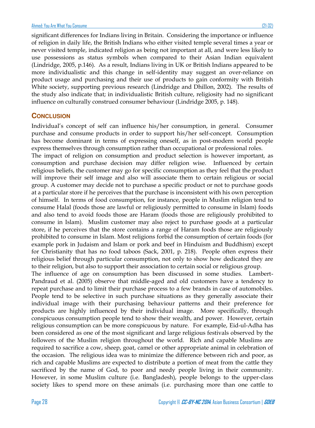significant differences for Indians living in Britain. Considering the importance or influence of religion in daily life, the British Indians who either visited temple several times a year or never visited temple, indicated religion as being not important at all, and were less likely to use possessions as status symbols when compared to their Asian Indian equivalent (Lindridge, 2005, p.146). As a result, Indians living in UK or British Indians appeared to be more individualistic and this change in self-identity may suggest an over-reliance on product usage and purchasing and their use of products to gain conformity with British White society, supporting previous research (Lindridge and Dhillon, 2002). The results of the study also indicate that; in individualistic British culture, religiosity had no significant influence on culturally construed consumer behaviour (Lindridge 2005, p. 148).

### **CONCLUSION**

Individual"s concept of self can influence his/her consumption, in general. Consumer purchase and consume products in order to support his/her self-concept. Consumption has become dominant in terms of expressing oneself, as in post-modern world people express themselves through consumption rather than occupational or professional roles.

The impact of religion on consumption and product selection is however important, as consumption and purchase decision may differ religion wise. Influenced by certain religious beliefs, the customer may go for specific consumption as they feel that the product will improve their self image and also will associate them to certain religious or social group. A customer may decide not to purchase a specific product or not to purchase goods at a particular store if he perceives that the purchase is inconsistent with his own perception of himself. In terms of food consumption, for instance, people in Muslim religion tend to consume Halal (foods those are lawful or religiously permitted to consume in Islam) foods and also tend to avoid foods those are Haram (foods those are religiously prohibited to consume in Islam). Muslim customer may also reject to purchase goods at a particular store, if he perceives that the store contains a range of Haram foods those are religiously prohibited to consume in Islam. Most religions forbid the consumption of certain foods (for example pork in Judaism and Islam or pork and beef in Hinduism and Buddhism) except for Christianity that has no food taboos (Sack, 2001, p. 218). People often express their religious belief through particular consumption, not only to show how dedicated they are to their religion, but also to support their association to certain social or religious group.

The influence of age on consumption has been discussed in some studies. Lambert-Pandraud et al. (2005) observe that middle-aged and old customers have a tendency to repeat purchase and to limit their purchase process to a few brands in case of automobiles. People tend to be selective in such purchase situations as they generally associate their individual image with their purchasing behaviour patterns and their preference for products are highly influenced by their individual image. More specifically, through conspicuous consumption people tend to show their wealth, and power. However, certain religious consumption can be more conspicuous by nature. For example, Eid-ul-Adha has been considered as one of the most significant and large religious festivals observed by the followers of the Muslim religion throughout the world. Rich and capable Muslims are required to sacrifice a cow, sheep, goat, camel or other appropriate animal in celebration of the occasion. The religious idea was to minimize the difference between rich and poor, as rich and capable Muslims are expected to distribute a portion of meat from the cattle they sacrificed by the name of God, to poor and needy people living in their community. However, in some Muslim culture (i.e. Bangladesh), people belongs to the upper-class society likes to spend more on these animals (i.e. purchasing more than one cattle to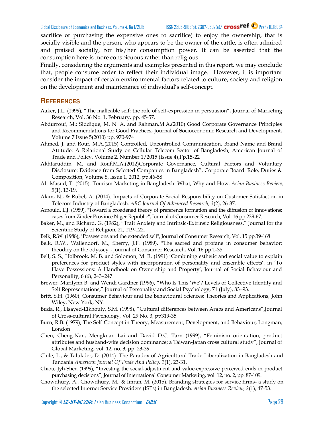sacrifice or purchasing the expensive ones to sacrifice) to enjoy the ownership, that is socially visible and the person, who appears to be the owner of the cattle, is often admired and praised socially, for his/her consumption power. It can be asserted that the consumption here is more conspicuous rather than religious.

Finally, considering the arguments and examples presented in this report, we may conclude that, people consume order to reflect their individual image. However, it is important consider the impact of certain environmental factors related to culture, society and religion on the development and maintenance of individual"s self-concept.

#### **REFERENCES**

- Aaker, J.L. (1999), "The malleable self: the role of self-expression in persuasion", Journal of Marketing Research, Vol. 36 No. 1, February, pp. 45-57.
- Abdurrouf, M.; Siddique, M. N. A. and Rahman,M.A.(2010) Good Corporate Governance Principles and Recommendations for Good Practices, Journal of Socioeconomic Research and Development, Volume 7 Issue 5(2010) pp. 970-974
- Ahmed, J. and Rouf, M.A.(2015) Controlled, Uncontrolled Communication, Brand Name and Brand Attitude: A Relational Study on Cellular Telecom Sector of Bangladesh, American Journal of Trade and Policy, Volume 2, Number 1/2015 (Issue 4),Pp.15-22
- Akhtaruddin, M. and Rouf,M.A.(2012)Corporate Governance, Cultural Factors and Voluntary Disclosure: Evidence from Selected Companies in Bangladesh", Corporate Board: Role, Duties & Composition, Volume 8, Issue 1, 2012, pp.46-58
- Al- Masud, T. (2015). Tourism Marketing in Bangladesh: What, Why and How. *Asian Business Review, 5*(1), 13-19.
- Alam, N., & Rubel, A. (2014). Impacts of Corporate Social Responsibility on Customer Satisfaction in Telecom Industry of Bangladesh. *ABC Journal Of Advanced Research, 3*(2), 26-37.
- Arnould, E.J. (1989), "Toward a broadened theory of preference formation and the diffusion of innovations: cases from Zinder Province Niger Republic", Journal of Consumer Research, Vol. 16 pp.239-67.
- Baker, M., and Richard, G. (1982), "Trait Anxiety and Intrinsic-Extrinsic Religiousness," Journal for the Scientific Study of Religion, 21, 119-122.
- Belk, R.W. (1988), "Possessions and the extended self", Journal of Consumer Research, Vol. 15 pp.39-168
- Belk, R.W., Wallendorf, M., Sherry, J.F. (1989), "The sacred and profane in consumer behavior: theodicy on the odyssey", Journal of Consumer Research, Vol. 16 pp.1-35.
- Bell, S. S., Holbrook, M. B. and Solomon, M. R. (1991) "Combining esthetic and social value to explain preferences for product styles with incorporation of personality and ensemble effects', in 'To Have Possessions: A Handbook on Ownership and Property', Journal of Social Behaviour and Personality, 6 (6), 243–247.
- Brewer, Marilynn B. and Wendi Gardner (1996), "Who Is This "We"? Levels of Collective Identity and Self Representations," Journal of Personality and Social Psychology, 71 (July), 83–93.
- Britt, S.H. (1960), Consumer Behaviour and the Behavioural Sciences: Theories and Applications, John Wiley, New York, NY.
- Buda. R., Elsayed-Elkhouly, S.M. (1998), "Cultural differences between Arabs and Americans",Journal of Cross-cultural Psychology, Vol. 29 No. 3, pp319-35
- Burn, R.B. (1979), The Self-Concept in Theory, Measurement, Development, and Behaviour, Longman, London
- Chen, Cheng-Nan, Mengkuan Lai and David D.C. Tarn (1999), "Feminism orientation, product attributes and husband-wife decision dominance; a Taiwan-Japan cross cultural study", Journal of Global Marketing, vol. 12, no. 3, pp. 23-39.
- Chile, L., & Talukder, D. (2014). The Paradox of Agricultural Trade Liberalization in Bangladesh and Tanzania.*American Journal Of Trade And Policy, 1*(1), 23-31.
- Chiou, Jyh-Shen (1999), "Investing the social-adjustment and value-expressive perceived ends in product purchasing decisions", Journal of International Consumer Marketing, vol. 12, no. 2, pp. 87-109.
- Chowdhury, A., Chowdhury, M., & Imran, M. (2015). Branding strategies for service firms- a study on the selected Internet Service Providers (ISPs) in Bangladesh. *Asian Business Review, 2*(1), 47-53.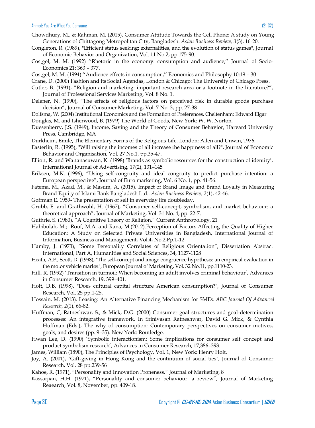- Chowdhury, M., & Rahman, M. (2015). Consumer Attitude Towards the Cell Phone: A study on Young Generations of Chittagong Metropolitan City, Bangladesh. *Asian Business Review, 3*(3), 16-20.
- Congleton, R. (1989), "Efficient status seeking: externalities, and the evolution of status games", Journal of Economic Behavior and Organization, Vol. 11 No.2, pp.175-90.
- Cos gel, M. M. (1992) "Rhetoric in the economy: consumption and audience," Journal of Socio-Economics 21: 363 – 377.
- Cos<sub>,</sub>gel, M. M. (1994) "Audience effects in consumption," Economics and Philosophy 10:19 30
- Crane, D. (2000) Fashion and its Social Agendas, London & Chicago: The University of Chicago Press.
- Cutler, B. (1991), "Religion and marketing: important research area or a footnote in the literature?", Journal of Professional Services Marketing, Vol. 8 No. 1.
- Delener, N. (1990), "The effects of religious factors on perceived risk in durable goods purchase decision", Journal of Consumer Marketing, Vol. 7 No. 3, pp. 27-38
- Dolfsma, W. (2004) Institutional Economics and the Formation of Preferences, Cheltenham: Edward Elgar Douglas, M. and Isherwood, B. (1979) The World of Goods, New York: W. W. Norton.
- Duesenberry, J.S. (1949), Income, Saving and the Theory of Consumer Behavior, Harvard University Press, Cambridge, MA
- Durkheim, Emile, The Elementary Forms of the Religious Life. London: Allen and Unwin, 1976.
- Easterlin, R. (1995), "Will raising the incomes of all increase the happiness of all?", Journal of Economic Behavior and Organisation, Vol. 27 No.1, pp.35-47.
- Elliott, R. and Wattanasuwan, K. (1998) "Brands as symbolic resources for the construction of identity", International Journal of Advertising, 17(2), 131–145
- Eriksen, M.K. (1996), "Using self-congruity and ideal congruity to predict purchase intention: a European perspective", Journal of Euro marketing, Vol. 6 No. 1, pp. 41-56.
- Fatema, M., Azad, M., & Masum, A. (2015). Impact of Brand Image and Brand Loyalty in Measuring Brand Equity of Islami Bank Bangladesh Ltd.. *Asian Business Review, 2*(1), 42-46.
- Goffman E. 1959- The presentation of self in everyday life doubleday.
- Grubb, E. and Grathwohl, H. (1967), "Consumer self-concept, symbolism, and market behaviour: a theoretical approach", Journal of Marketing, Vol. 31 No. 4, pp. 22-7.
- Guthrie, S. (1980), "A Cognitive Theory of Religion," Current Anthropology, 21
- Habibulah, M.; Rouf, M.A. and Rana, M.(2012).Perception of Factors Affecting the Quality of Higher Education: A Study on Selected Private Universities in Bangladesh, International Journal of Information, Business and Management, Vol.4, No.2,Pp.1-12
- Hamby, J. (1973), "Some Personality Correlates of Religious Orientation", Dissertation Abstract International, Part A, Humanities and Social Sciences, 34, 1127-1128
- Heath, A.P., Scott, D. (1998), "The self-concept and image congruence hypothesis: an empirical evaluation in the motor vehicle market", European Journal of Marketing, Vol. 32 No.11, pp.1110-23.
- Hill, R. (1992) "Transition in turmoil: When becoming an adult involves criminal behaviour", Advances in Consumer Research, 19, 399–401.
- Holt, D.B. (1998), "Does cultural capital structure American consumption?", Journal of Consumer Research, Vol. 25 pp.1-25.
- Hossain, M. (2013). Leasing: An Alternative Financing Mechanism for SMEs. *ABC Journal Of Advanced Research, 2*(1), 66-82.
- Huffman, C, Ratneshwar, S., & Mick, D.G. (2000) Consumer goal structures and goal-determination processes: An integrative framework, In Srinivasan Ratneshwar, David G. Mick, & Cynthia Huffman (Eds.), The why of consumption: Contemporary perspectives on consumer motives, goals, and desires (pp. 9–35). New York: Routledge.
- Hwan Lee, D. (1990) "Symbolic interactionism: Some implications for consumer self concept and product symbolism research', Advances in Consumer Research, 17,386-393.
- James, William (1890), The Principles of Psychology, Vol. 1, New York: Henry Holt.
- Joy, A. (2001), "Gift-giving in Hong Kong and the continuum of social ties", Journal of Consumer Research, Vol. 28 pp.239-56
- Kahoe, R. (1971), "Personality and Innovation Proneness," Journal of Marketing, 8
- Kassarjian, H.H. (1971), "Personality and consumer behaviour: a review", Journal of Marketing Reaearch, Vol. 8, November, pp. 409-18.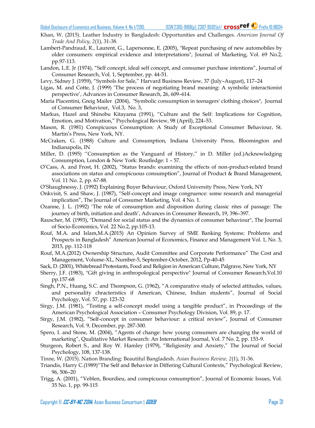- Khan, W. (2015). Leather Industry in Bangladesh: Opportunities and Challenges. *American Journal Of Trade And Policy, 2*(1), 31-38.
- Lambert-Pandraud, R., Laurent, G., Lapersonne, E. (2005), "Repeat purchasing of new automobiles by older consumers: empirical evidence and interpretations", Journal of Marketing, Vol. 69 No.2, pp.97-113.
- Landon, L.E. Jr (1974), "Self concept, ideal self concept, and consumer purchase intentions", Journal of Consumer Research, Vol. 1, September, pp. 44-51.
- Levy, Sidney J. (1959), "Symbols for Sale," Harvard Business Review, 37 (July–August), 117–24
- Ligas, M. and Cotte, J. (1999) "The process of negotiating brand meaning: A symbolic interactionist perspective", Advances in Consumer Research, 26, 609–614.
- Maria Piacentini, Greig Mailer (2004), "Symbolic consumption in teenagers' clothing choices", Journal of Consumer Behaviour, Vol.3, No. 3,
- Markus, Hazel and Shinobu Kitayama (1991), "Culture and the Self: Implications for Cognition, Emotion, and Motivation," Psychological Review, 98 (April), 224–53.
- Mason, R. (1981) Conspicuous Consumption: A Study of Exceptional Consumer Behaviour, St. Martin"s Press, New York, NY.
- McCraken, G. (1988) Culture and Consumption, Indiana University Press, Bloomington and Indianapolis, IN
- Miller, D. (1995) "Consumption as the Vanguard of History," in D. Miller (ed.)Acknowledging Consumption, London & New York: Routledge: 1 – 57.
- O"Cass, A. and Frost, H. (2002), "Status brands: examining the effects of non-product-related brand associations on status and conspicuous consumption", Journal of Product & Brand Management, Vol. 11 No. 2, pp. 67-88.
- O"Shaughnessy, J. (1992) Explaining Buyer Behaviour, Oxford University Press, New York, NY
- Onkvisit, S. and Shaw, J. (1987), "Self-concept and image congruence: some research and managerial implication", The Journal of Consumer Marketing, Vol. 4 No. 1.
- Ozanne, J. L. (1992) "The role of consumption and disposition during classic rites of passage: The journey of birth, initiation and death", Advances in Consumer Research, 19, 396–397.
- Rauscher, M. (1993), "Demand for social status and the dynamics of consumer behaviour", The Journal of Socio-Economics, Vol. 22 No.2, pp.105-13.
- Rouf, M.A. and Islam,M.A.(2015) An Opinion Survey of SME Banking Systems: Problems and Prospects in Bangladesh" American Journal of Economics, Finance and Management Vol. 1, No. 3, 2015, pp. 112-118
- Rouf, M.A.(2012) Ownership Structure, Audit Committee and Corporate Performance" The Cost and Management, Volume-XL, Number-5, September-October, 2012, Pp-40-45
- Sack, D. (2001), Whitebread Protestants, Food and Religion in American Culture, Palgrave, New York, NY
- Sherry, J.F. (1983), "Gift giving in anthropological perspective" Journal of Consumer Research,Vol.10 pp.157-68
- Singh, P.N., Huang, S.C. and Thompson, G. (1962), "A comparative study of selected attitudes, values, and personality chracteristics if American, Chinese, Indian students", Journal of Social Psychology, Vol. 57, pp. 123-32
- Sirgy, J.M. (1981), "Testing a self-concept model using a tangible product", in Proceedings of the American Psychological Association – Consumer Psychology Division, Vol. 89, p. 17.
- Sirgy, J.M. (1982), "Self-concept in consumer behaviour: a critical review", Journal of Consumer Research, Vol. 9, December, pp. 287-300.
- Spero, I. and Stone, M. (2004), "Agents of change: how young consumers are changing the world of marketing", Qualitative Market Research: An International Journal, Vol. 7 No. 2, pp. 153-9.
- Sturgeon, Robert S., and Roy W. Hamley (1979), "Religiosity and Anxiety," The Journal of Social Psychology, 108, 137-138.
- Tinne, W. (2015). Nation Branding: Beautiful Bangladesh. *Asian Business Review, 2*(1), 31-36.
- Triandis, Harry C.(1989)"The Self and Behavior in Differing Cultural Contexts," Psychological Review, 96, 506–20
- Trigg, A. (2001), "Veblen, Bourdieu, and conspicuous consumption", Journal of Economic Issues, Vol. 35 No. 1, pp. 99-115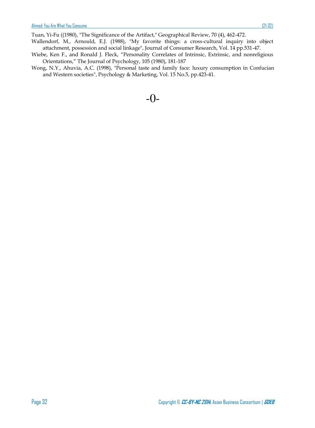- Wallendorf, M., Arnould, E.J. (1988), "My favorite things: a cross-cultural inquiry into object attachment, possession and social linkage", Journal of Consumer Research, Vol. 14 pp.531-47.
- Wiebe, Ken F., and Ronald J. Fleck, "Personality Correlates of Intrinsic, Extrinsic, and nonreligious Orientations," The Journal of Psychology, 105 (1980), 181-187
- Wong, N.Y., Ahuvia, A.C. (1998), "Personal taste and family face: luxury consumption in Confucian and Western societies", Psychology & Marketing, Vol. 15 No.5, pp.423-41.